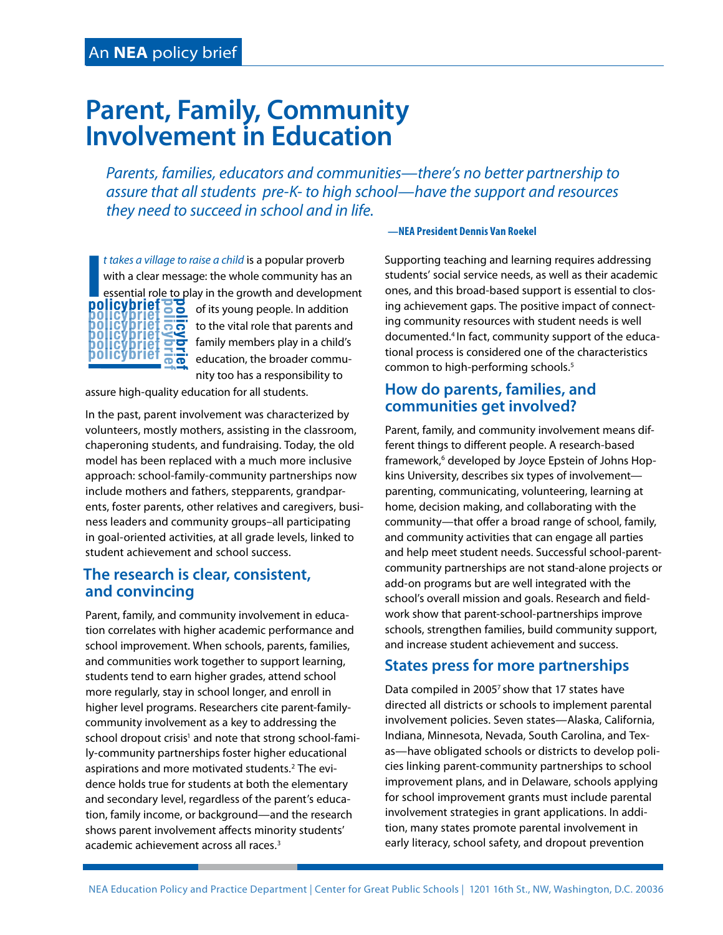# **Parent, Family, Community Involvement in Education**

*Parents, families, educators and communities—there's no better partnership to assure that all students pre-K- to high school—have the support and resources they need to succeed in school and in life.*

*t takes a village to raise a child* is a popular proverb with a clear message: the whole community has an essential role to play in the growth and development



of its young people. In addition to the vital role that parents and family members play in a child's education, the broader community too has a responsibility to

assure high-quality education for all students.

In the past, parent involvement was characterized by volunteers, mostly mothers, assisting in the classroom, chaperoning students, and fundraising. Today, the old model has been replaced with a much more inclusive approach: school-family-community partnerships now include mothers and fathers, stepparents, grandparents, foster parents, other relatives and caregivers, business leaders and community groups–all participating in goal-oriented activities, at all grade levels, linked to student achievement and school success.

## **The research is clear, consistent, and convincing**

Parent, family, and community involvement in education correlates with higher academic performance and school improvement. When schools, parents, families, and communities work together to support learning, students tend to earn higher grades, attend school more regularly, stay in school longer, and enroll in higher level programs. Researchers cite parent-familycommunity involvement as a key to addressing the school dropout crisis<sup>1</sup> and note that strong school-family-community partnerships foster higher educational aspirations and more motivated students.<sup>2</sup> The evidence holds true for students at both the elementary and secondary level, regardless of the parent's education, family income, or background—and the research shows parent involvement affects minority students' academic achievement across all races.<sup>3</sup>

#### **—NEA President Dennis Van Roekel**

Supporting teaching and learning requires addressing students' social service needs, as well as their academic ones, and this broad-based support is essential to closing achievement gaps. The positive impact of connecting community resources with student needs is well documented.4 In fact, community support of the educational process is considered one of the characteristics common to high-performing schools.<sup>5</sup>

## **How do parents, families, and communities get involved?**

Parent, family, and community involvement means different things to different people. A research-based framework,6 developed by Joyce Epstein of Johns Hopkins University, describes six types of involvement parenting, communicating, volunteering, learning at home, decision making, and collaborating with the community—that offer a broad range of school, family, and community activities that can engage all parties and help meet student needs. Successful school-parentcommunity partnerships are not stand-alone projects or add-on programs but are well integrated with the school's overall mission and goals. Research and fieldwork show that parent-school-partnerships improve schools, strengthen families, build community support, and increase student achievement and success.

### **States press for more partnerships**

Data compiled in 2005<sup>7</sup> show that 17 states have directed all districts or schools to implement parental involvement policies. Seven states—Alaska, California, Indiana, Minnesota, Nevada, South Carolina, and Texas—have obligated schools or districts to develop policies linking parent-community partnerships to school improvement plans, and in Delaware, schools applying for school improvement grants must include parental involvement strategies in grant applications. In addition, many states promote parental involvement in early literacy, school safety, and dropout prevention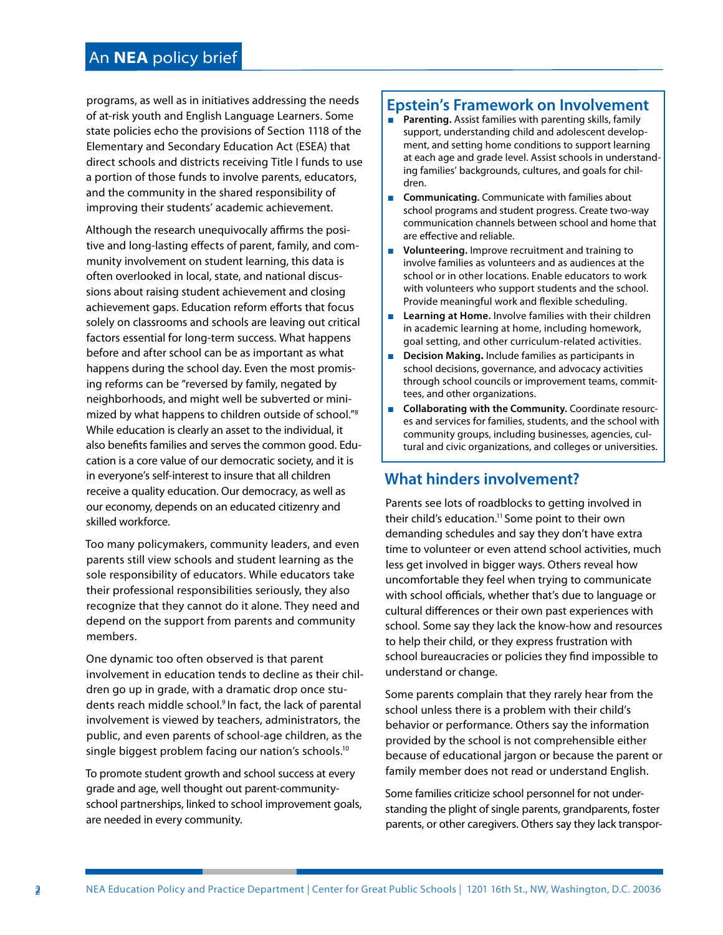## An **NEA** policy brief

programs, as well as in initiatives addressing the needs of at-risk youth and English Language Learners. Some state policies echo the provisions of Section 1118 of the Elementary and Secondary Education Act (ESEA) that direct schools and districts receiving Title I funds to use a portion of those funds to involve parents, educators, and the community in the shared responsibility of improving their students' academic achievement.

Although the research unequivocally affirms the positive and long-lasting effects of parent, family, and community involvement on student learning, this data is often overlooked in local, state, and national discussions about raising student achievement and closing achievement gaps. Education reform efforts that focus solely on classrooms and schools are leaving out critical factors essential for long-term success. What happens before and after school can be as important as what happens during the school day. Even the most promising reforms can be "reversed by family, negated by neighborhoods, and might well be subverted or minimized by what happens to children outside of school."8 While education is clearly an asset to the individual, it also benefits families and serves the common good. Education is a core value of our democratic society, and it is in everyone's self-interest to insure that all children receive a quality education. Our democracy, as well as our economy, depends on an educated citizenry and skilled workforce.

Too many policymakers, community leaders, and even parents still view schools and student learning as the sole responsibility of educators. While educators take their professional responsibilities seriously, they also recognize that they cannot do it alone. They need and depend on the support from parents and community members.

One dynamic too often observed is that parent involvement in education tends to decline as their children go up in grade, with a dramatic drop once students reach middle school.9 In fact, the lack of parental involvement is viewed by teachers, administrators, the public, and even parents of school-age children, as the single biggest problem facing our nation's schools.<sup>10</sup>

To promote student growth and school success at every grade and age, well thought out parent-communityschool partnerships, linked to school improvement goals, are needed in every community.

#### **Epstein's Framework on Involvement**

- **Parenting.** Assist families with parenting skills, family support, understanding child and adolescent development, and setting home conditions to support learning at each age and grade level. Assist schools in understanding families' backgrounds, cultures, and goals for children.
- **Communicating.** Communicate with families about school programs and student progress. Create two-way communication channels between school and home that are effective and reliable.
- **Volunteering.** Improve recruitment and training to involve families as volunteers and as audiences at the school or in other locations. Enable educators to work with volunteers who support students and the school. Provide meaningful work and flexible scheduling.
- **Learning at Home.** Involve families with their children in academic learning at home, including homework, goal setting, and other curriculum-related activities.
- **Decision Making.** Include families as participants in school decisions, governance, and advocacy activities through school councils or improvement teams, committees, and other organizations.
- **Collaborating with the Community.** Coordinate resources and services for families, students, and the school with community groups, including businesses, agencies, cultural and civic organizations, and colleges or universities.

## **What hinders involvement?**

Parents see lots of roadblocks to getting involved in their child's education.<sup>11</sup> Some point to their own demanding schedules and say they don't have extra time to volunteer or even attend school activities, much less get involved in bigger ways. Others reveal how uncomfortable they feel when trying to communicate with school officials, whether that's due to language or cultural differences or their own past experiences with school. Some say they lack the know-how and resources to help their child, or they express frustration with school bureaucracies or policies they find impossible to understand or change.

Some parents complain that they rarely hear from the school unless there is a problem with their child's behavior or performance. Others say the information provided by the school is not comprehensible either because of educational jargon or because the parent or family member does not read or understand English.

Some families criticize school personnel for not understanding the plight of single parents, grandparents, foster parents, or other caregivers. Others say they lack transpor-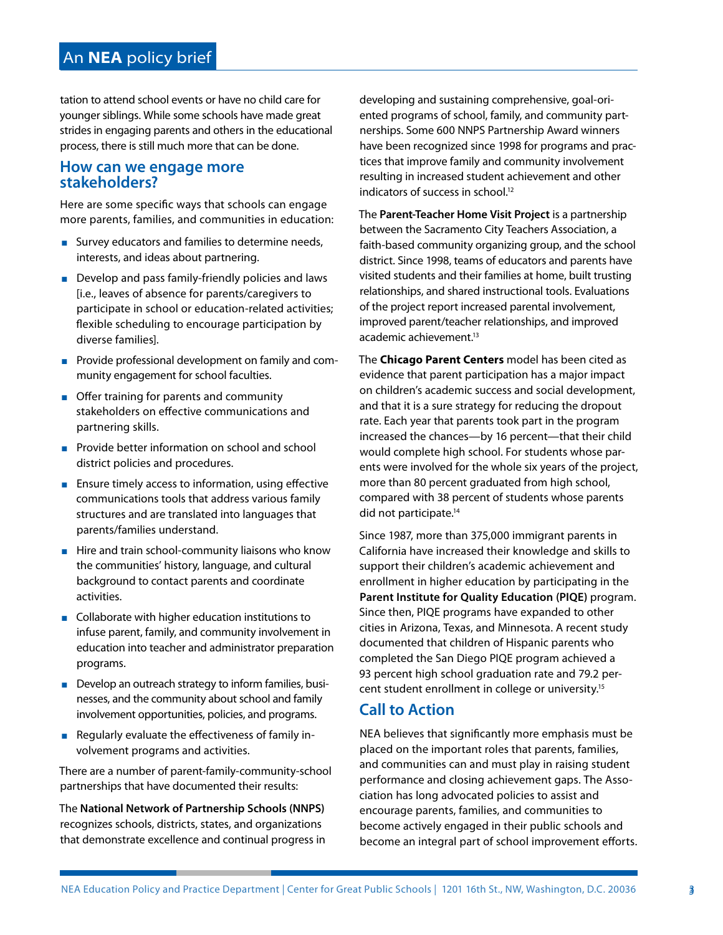tation to attend school events or have no child care for younger siblings. While some schools have made great strides in engaging parents and others in the educational process, there is still much more that can be done.

#### **How can we engage more stakeholders?**

Here are some specific ways that schools can engage more parents, families, and communities in education:

- Survey educators and families to determine needs, interests, and ideas about partnering.
- Develop and pass family-friendly policies and laws [i.e., leaves of absence for parents/caregivers to participate in school or education-related activities; flexible scheduling to encourage participation by diverse families].
- Provide professional development on family and community engagement for school faculties.
- Offer training for parents and community stakeholders on effective communications and partnering skills.
- Provide better information on school and school district policies and procedures.
- Ensure timely access to information, using effective communications tools that address various family structures and are translated into languages that parents/families understand.
- Hire and train school-community liaisons who know the communities' history, language, and cultural background to contact parents and coordinate activities.
- Collaborate with higher education institutions to infuse parent, family, and community involvement in education into teacher and administrator preparation programs.
- Develop an outreach strategy to inform families, businesses, and the community about school and family involvement opportunities, policies, and programs.
- Regularly evaluate the effectiveness of family involvement programs and activities.

There are a number of parent-family-community-school partnerships that have documented their results:

The **National Network of Partnership Schools (NNPS)** recognizes schools, districts, states, and organizations that demonstrate excellence and continual progress in developing and sustaining comprehensive, goal-oriented programs of school, family, and community partnerships. Some 600 NNPS Partnership Award winners have been recognized since 1998 for programs and practices that improve family and community involvement resulting in increased student achievement and other indicators of success in school.<sup>12</sup>

The **Parent-Teacher Home Visit Project** is a partnership between the Sacramento City Teachers Association, a faith-based community organizing group, and the school district. Since 1998, teams of educators and parents have visited students and their families at home, built trusting relationships, and shared instructional tools. Evaluations of the project report increased parental involvement, improved parent/teacher relationships, and improved academic achievement.<sup>13</sup>

The **Chicago Parent Centers** model has been cited as evidence that parent participation has a major impact on children's academic success and social development, and that it is a sure strategy for reducing the dropout rate. Each year that parents took part in the program increased the chances—by 16 percent—that their child would complete high school. For students whose parents were involved for the whole six years of the project, more than 80 percent graduated from high school, compared with 38 percent of students whose parents did not participate.<sup>14</sup>

Since 1987, more than 375,000 immigrant parents in California have increased their knowledge and skills to support their children's academic achievement and enrollment in higher education by participating in the **Parent Institute for Quality Education (PIQE)** program. Since then, PIQE programs have expanded to other cities in Arizona, Texas, and Minnesota. A recent study documented that children of Hispanic parents who completed the San Diego PIQE program achieved a 93 percent high school graduation rate and 79.2 percent student enrollment in college or university.15

## **Call to Action**

NEA believes that significantly more emphasis must be placed on the important roles that parents, families, and communities can and must play in raising student performance and closing achievement gaps. The Association has long advocated policies to assist and encourage parents, families, and communities to become actively engaged in their public schools and become an integral part of school improvement efforts.